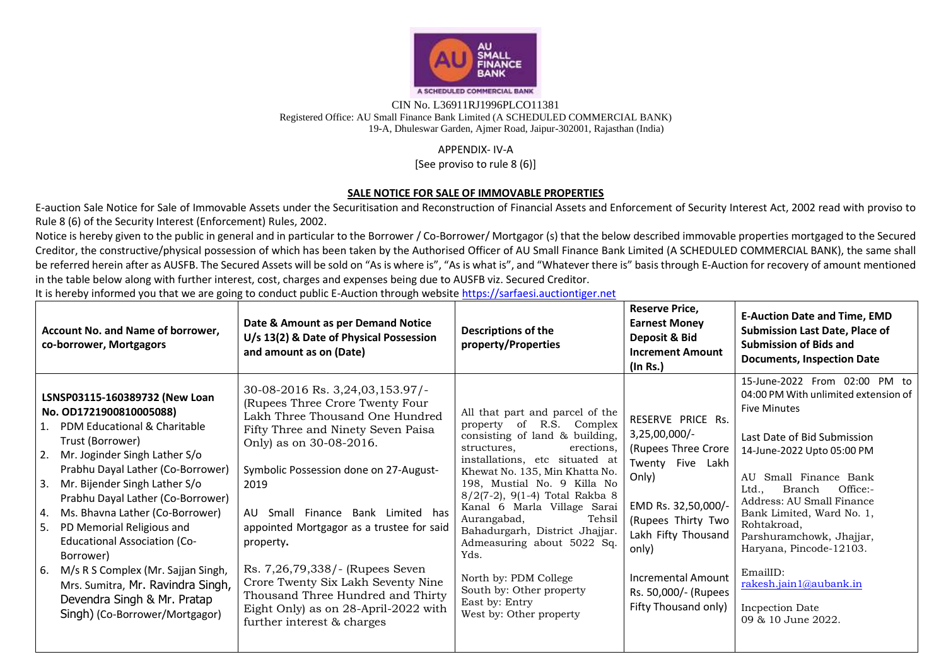

## CIN No. L36911RJ1996PLCO11381 Registered Office: AU Small Finance Bank Limited (A SCHEDULED COMMERCIAL BANK) 19-A, Dhuleswar Garden, Ajmer Road, Jaipur-302001, Rajasthan (India)

## APPENDIX- IV-A

[See proviso to rule 8 (6)]

## **SALE NOTICE FOR SALE OF IMMOVABLE PROPERTIES**

E-auction Sale Notice for Sale of Immovable Assets under the Securitisation and Reconstruction of Financial Assets and Enforcement of Security Interest Act, 2002 read with proviso to Rule 8 (6) of the Security Interest (Enforcement) Rules, 2002.

Notice is hereby given to the public in general and in particular to the Borrower / Co-Borrower/ Mortgagor (s) that the below described immovable properties mortgaged to the Secured Creditor, the constructive/physical possession of which has been taken by the Authorised Officer of AU Small Finance Bank Limited (A SCHEDULED COMMERCIAL BANK), the same shall be referred herein after as AUSFB. The Secured Assets will be sold on "As is where is", "As is what is", and "Whatever there is" basis through E-Auction for recovery of amount mentioned in the table below along with further interest, cost, charges and expenses being due to AUSFB viz. Secured Creditor.

It is hereby informed you that we are going to conduct public E-Auction through website [https://sarfaesi.auctiontiger.net](https://sarfaesi.auctiontiger.net/) 

| Account No. and Name of borrower,<br>co-borrower, Mortgagors                                                                                                                                                                                                                                                                                                                                                                                                                                                                                            | Date & Amount as per Demand Notice<br>U/s 13(2) & Date of Physical Possession<br>and amount as on (Date)                                                                                                                                                                                                                                                                                                                                                                                                       | <b>Descriptions of the</b><br>property/Properties                                                                                                                                                                                                                                                                                                                                                                                                                                                 | <b>Reserve Price,</b><br><b>Earnest Money</b><br>Deposit & Bid<br><b>Increment Amount</b><br>(In Rs.)                                                                                                                                               | <b>E-Auction Date and Time, EMD</b><br><b>Submission Last Date, Place of</b><br><b>Submission of Bids and</b><br><b>Documents, Inspection Date</b>                                                                                                                                                                                                                                                                             |
|---------------------------------------------------------------------------------------------------------------------------------------------------------------------------------------------------------------------------------------------------------------------------------------------------------------------------------------------------------------------------------------------------------------------------------------------------------------------------------------------------------------------------------------------------------|----------------------------------------------------------------------------------------------------------------------------------------------------------------------------------------------------------------------------------------------------------------------------------------------------------------------------------------------------------------------------------------------------------------------------------------------------------------------------------------------------------------|---------------------------------------------------------------------------------------------------------------------------------------------------------------------------------------------------------------------------------------------------------------------------------------------------------------------------------------------------------------------------------------------------------------------------------------------------------------------------------------------------|-----------------------------------------------------------------------------------------------------------------------------------------------------------------------------------------------------------------------------------------------------|--------------------------------------------------------------------------------------------------------------------------------------------------------------------------------------------------------------------------------------------------------------------------------------------------------------------------------------------------------------------------------------------------------------------------------|
| LSNSP03115-160389732 (New Loan<br>No. 0D1721900810005088)<br>PDM Educational & Charitable<br>Trust (Borrower)<br>2.<br>Mr. Joginder Singh Lather S/o<br>Prabhu Dayal Lather (Co-Borrower)<br>3.<br>Mr. Bijender Singh Lather S/o<br>Prabhu Dayal Lather (Co-Borrower)<br>Ms. Bhavna Lather (Co-Borrower)<br>4.<br>PD Memorial Religious and<br>5.<br><b>Educational Association (Co-</b><br>Borrower)<br>M/s R S Complex (Mr. Sajjan Singh,<br>6.<br>Mrs. Sumitra, Mr. Ravindra Singh,<br>Devendra Singh & Mr. Pratap<br>Singh) (Co-Borrower/Mortgagor) | 30-08-2016 Rs. 3,24,03,153.97/-<br>(Rupees Three Crore Twenty Four<br>Lakh Three Thousand One Hundred<br>Fifty Three and Ninety Seven Paisa<br>Only) as on 30-08-2016.<br>Symbolic Possession done on 27-August-<br>2019<br>Small Finance Bank Limited has<br>AU<br>appointed Mortgagor as a trustee for said<br>property.<br>Rs. 7,26,79,338/- (Rupees Seven<br>Crore Twenty Six Lakh Seventy Nine<br>Thousand Three Hundred and Thirty<br>Eight Only) as on 28-April-2022 with<br>further interest & charges | All that part and parcel of the<br>property of R.S. Complex<br>consisting of land & building,<br>erections,<br>structures.<br>installations, etc situated at<br>Khewat No. 135, Min Khatta No.<br>198, Mustial No. 9 Killa No<br>8/2(7-2), 9(1-4) Total Rakba 8<br>Kanal 6 Marla Village Sarai<br>Aurangabad,<br>Tehsil<br>Bahadurgarh, District Jhajjar.<br>Admeasuring about 5022 Sq.<br>Yds.<br>North by: PDM College<br>South by: Other property<br>East by: Entry<br>West by: Other property | RESERVE PRICE Rs.<br>$3,25,00,000$ /-<br>(Rupees Three Crore<br>Twenty Five Lakh<br>Only)<br>EMD Rs. 32,50,000/-<br>(Rupees Thirty Two<br>Lakh Fifty Thousand<br>only)<br><b>Incremental Amount</b><br>Rs. 50,000/- (Rupees<br>Fifty Thousand only) | 15-June-2022 From 02:00 PM to<br>04:00 PM With unlimited extension of<br><b>Five Minutes</b><br>Last Date of Bid Submission<br>14-June-2022 Upto 05:00 PM<br>AU Small Finance Bank<br>Office:-<br>Branch<br>Ltd<br>Address: AU Small Finance<br>Bank Limited, Ward No. 1,<br>Rohtakroad,<br>Parshuramchowk, Jhajjar,<br>Haryana, Pincode-12103.<br>EmailID:<br>rakesh.jain1@aubank.in<br>Incpection Date<br>09 & 10 June 2022. |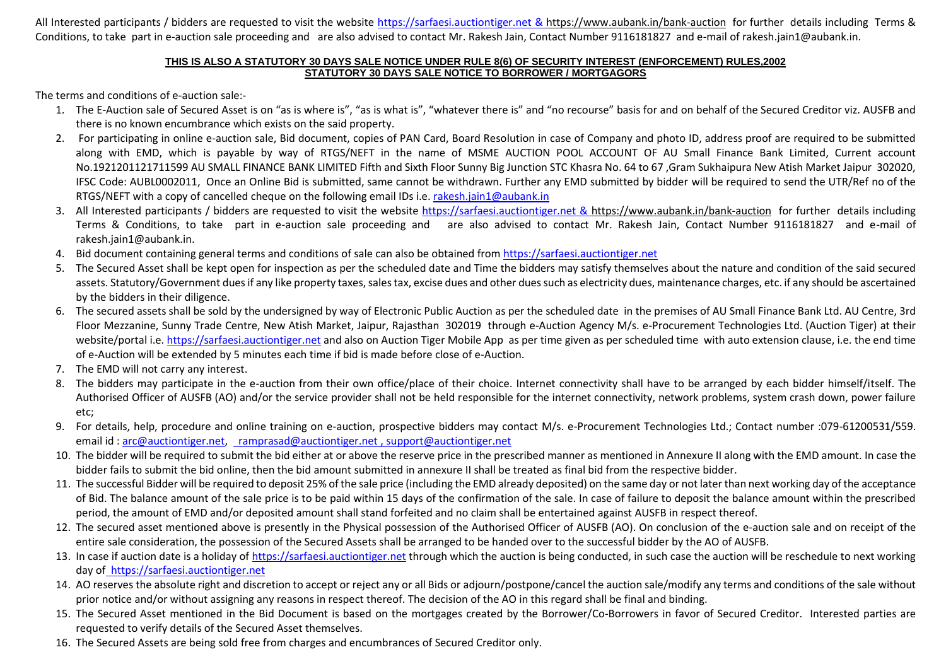All Interested participants / bidders are requested to visit the website [https://sarfaesi.auctiontiger.net](https://sarfaesi.auctiontiger.net/) & https://www.aubank.in/bank-auction for further details including Terms & Conditions, to take part in e-auction sale proceeding and are also advised to contact Mr. Rakesh Jain, Contact Number 9116181827 and e-mail of rakesh.jain1@aubank.in.

## **THIS IS ALSO A STATUTORY 30 DAYS SALE NOTICE UNDER RULE 8(6) OF SECURITY INTEREST (ENFORCEMENT) RULES,2002 STATUTORY 30 DAYS SALE NOTICE TO BORROWER / MORTGAGORS**

The terms and conditions of e-auction sale:-

- 1. The E-Auction sale of Secured Asset is on "as is where is", "as is what is", "whatever there is" and "no recourse" basis for and on behalf of the Secured Creditor viz. AUSFB and there is no known encumbrance which exists on the said property.
- 2. For participating in online e-auction sale, Bid document, copies of PAN Card, Board Resolution in case of Company and photo ID, address proof are required to be submitted along with EMD, which is payable by way of RTGS/NEFT in the name of MSME AUCTION POOL ACCOUNT OF AU Small Finance Bank Limited, Current account No.1921201121711599 AU SMALL FINANCE BANK LIMITED Fifth and Sixth Floor Sunny Big Junction STC Khasra No. 64 to 67 ,Gram Sukhaipura New Atish Market Jaipur 302020, IFSC Code: AUBL0002011, Once an Online Bid is submitted, same cannot be withdrawn. Further any EMD submitted by bidder will be required to send the UTR/Ref no of the RTGS/NEFT with a copy of cancelled cheque on the following email IDs i.e[. rakesh.jain1@aubank.in](mailto:rakesh.jain1@aubank.in)
- 3. All Interested participants / bidders are requested to visit the website [https://sarfaesi.auctiontiger.net](https://sarfaesi.auctiontiger.net/) & https://www.aubank.in/bank-auction for further details including Terms & Conditions, to take part in e-auction sale proceeding and are also advised to contact Mr. Rakesh Jain, Contact Number 9116181827 and e-mail of rakesh.jain1@aubank.in.
- 4. Bid document containing general terms and conditions of sale can also be obtained fro[m https://sarfaesi.auctiontiger.net](https://edelweissarc.auctiontiger.net/)
- 5. The Secured Asset shall be kept open for inspection as per the scheduled date and Time the bidders may satisfy themselves about the nature and condition of the said secured assets. Statutory/Government dues if any like property taxes, sales tax, excise dues and other dues such as electricity dues, maintenance charges, etc. if any should be ascertained by the bidders in their diligence.
- 6. The secured assets shall be sold by the undersigned by way of Electronic Public Auction as per the scheduled date in the premises of AU Small Finance Bank Ltd. AU Centre, 3rd Floor Mezzanine, Sunny Trade Centre, New Atish Market, Jaipur, Rajasthan 302019 through e-Auction Agency M/s. e-Procurement Technologies Ltd. (Auction Tiger) at their website/portal i.e[. https://sarfaesi.auctiontiger.net](https://sarfaesi.auctiontiger.net/) and also on Auction Tiger Mobile App as per time given as per scheduled time with auto extension clause, i.e. the end time of e-Auction will be extended by 5 minutes each time if bid is made before close of e-Auction.
- 7. The EMD will not carry any interest.
- 8. The bidders may participate in the e-auction from their own office/place of their choice. Internet connectivity shall have to be arranged by each bidder himself/itself. The Authorised Officer of AUSFB (AO) and/or the service provider shall not be held responsible for the internet connectivity, network problems, system crash down, power failure etc;
- 9. For details, help, procedure and online training on e-auction, prospective bidders may contact M/s. e-Procurement Technologies Ltd.; Contact number :079-61200531/559. email id : [arc@auctiontiger.net,](mailto:arc@auctiontiger.net) [ramprasad@auctiontiger.net](mailto:ramprasad@auctiontiger.net) [, support@auctiontiger.net](mailto:support@auctiontiger.net)
- 10. The bidder will be required to submit the bid either at or above the reserve price in the prescribed manner as mentioned in Annexure II along with the EMD amount. In case the bidder fails to submit the bid online, then the bid amount submitted in annexure II shall be treated as final bid from the respective bidder.
- 11. The successful Bidder will be required to deposit 25% of the sale price (including the EMD already deposited) on the same day or not later than next working day of the acceptance of Bid. The balance amount of the sale price is to be paid within 15 days of the confirmation of the sale. In case of failure to deposit the balance amount within the prescribed period, the amount of EMD and/or deposited amount shall stand forfeited and no claim shall be entertained against AUSFB in respect thereof.
- 12. The secured asset mentioned above is presently in the Physical possession of the Authorised Officer of AUSFB (AO). On conclusion of the e-auction sale and on receipt of the entire sale consideration, the possession of the Secured Assets shall be arranged to be handed over to the successful bidder by the AO of AUSFB.
- 13. In case if auction date is a holiday of [https://sarfaesi.auctiontiger.net](https://sarfaesi.auctiontiger.net/) through which the auction is being conducted, in such case the auction will be reschedule to next working day of [https://sarfaesi.auctiontiger.net](https://sarfaesi.auctiontiger.net/)
- 14. AO reserves the absolute right and discretion to accept or reject any or all Bids or adjourn/postpone/cancel the auction sale/modify any terms and conditions of the sale without prior notice and/or without assigning any reasons in respect thereof. The decision of the AO in this regard shall be final and binding.
- 15. The Secured Asset mentioned in the Bid Document is based on the mortgages created by the Borrower/Co-Borrowers in favor of Secured Creditor. Interested parties are requested to verify details of the Secured Asset themselves.
- 16. The Secured Assets are being sold free from charges and encumbrances of Secured Creditor only.